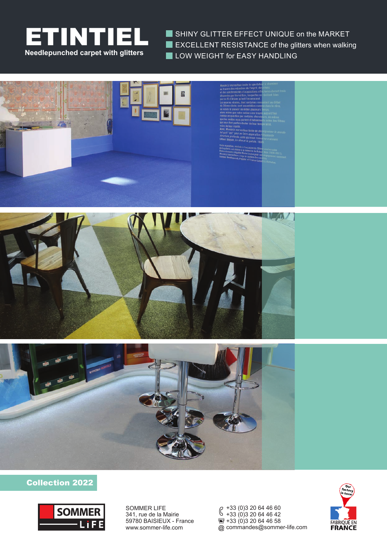

SHINY GLITTER EFFECT UNIQUE on the MARKET **EXCELLENT RESISTANCE of the glitters when walking LOW WEIGHT for EASY HANDLING** 







## Collection 2022



SOMMER LIFE 341, rue de la Mairie 59780 BAISIEUX - France www.sommer-life.com

+33 (0)3 20 64 46 60 +33 (0)3 20 64 46 42  $\overline{2}$  +33 (0) 3 20 64 46 58 commandes@sommer-life.com